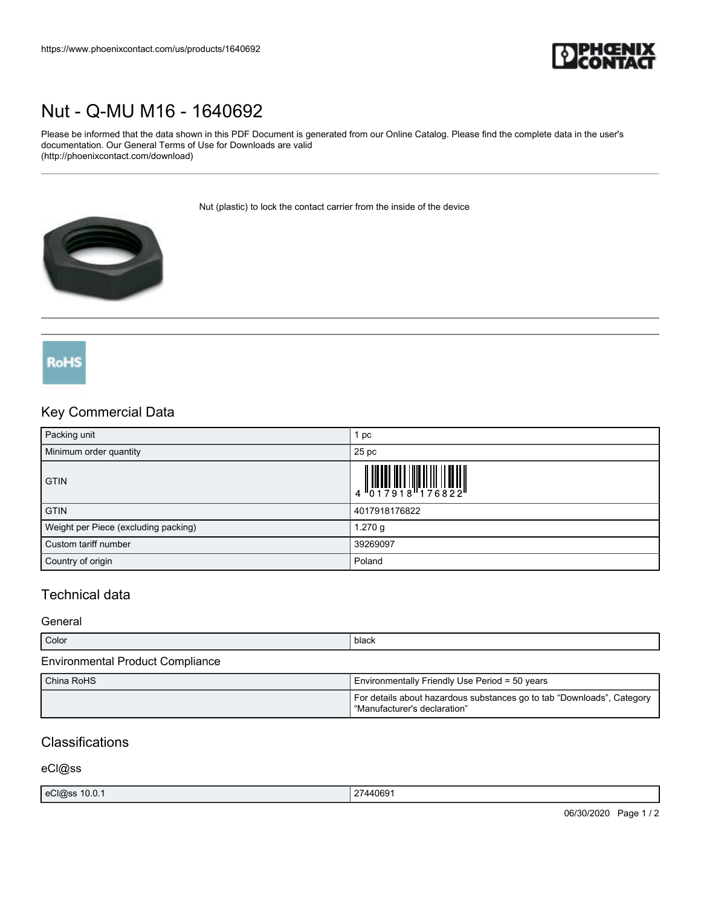

# [Nut - Q-MU M16 - 1640692](https://www.phoenixcontact.com/us/products/1640692)

Please be informed that the data shown in this PDF Document is generated from our Online Catalog. Please find the complete data in the user's documentation. Our General Terms of Use for Downloads are valid (http://phoenixcontact.com/download)

Nut (plastic) to lock the contact carrier from the inside of the device



## **RoHS**

### Key Commercial Data

| Packing unit                         | pc                                                                                                                                                                                                                                                                                                                             |
|--------------------------------------|--------------------------------------------------------------------------------------------------------------------------------------------------------------------------------------------------------------------------------------------------------------------------------------------------------------------------------|
| Minimum order quantity               | 25 <sub>pc</sub>                                                                                                                                                                                                                                                                                                               |
| <b>GTIN</b>                          | $\begin{array}{c} 1 & 0 & 0 & 0 \\ 0 & 1 & 0 & 0 \\ 0 & 1 & 0 & 0 \\ 0 & 0 & 0 & 0 \\ 0 & 0 & 0 & 0 \\ 0 & 0 & 0 & 0 \\ 0 & 0 & 0 & 0 \\ 0 & 0 & 0 & 0 \\ 0 & 0 & 0 & 0 \\ 0 & 0 & 0 & 0 \\ 0 & 0 & 0 & 0 \\ 0 & 0 & 0 & 0 \\ 0 & 0 & 0 & 0 & 0 \\ 0 & 0 & 0 & 0 & 0 \\ 0 & 0 & 0 & 0 & 0 \\ 0 & 0 & 0 & 0 & 0 \\ 0 & 0 & 0 &$ |
| <b>GTIN</b>                          | 4017918176822                                                                                                                                                                                                                                                                                                                  |
| Weight per Piece (excluding packing) | 1.270 g                                                                                                                                                                                                                                                                                                                        |
| Custom tariff number                 | 39269097                                                                                                                                                                                                                                                                                                                       |
| Country of origin                    | Poland                                                                                                                                                                                                                                                                                                                         |

## Technical data

#### **General**

| Color                                   | black                                                                                                  |
|-----------------------------------------|--------------------------------------------------------------------------------------------------------|
| <b>Environmental Product Compliance</b> |                                                                                                        |
| China RoHS                              | Environmentally Friendly Use Period = 50 years                                                         |
|                                         | For details about hazardous substances go to tab "Downloads", Category<br>"Manufacturer's declaration" |

### **Classifications**

eCl@ss

|  | and the contract of the contract of the<br>$\sim$<br>eCl@ss<br>10.0.1 | .440691 |
|--|-----------------------------------------------------------------------|---------|
|--|-----------------------------------------------------------------------|---------|